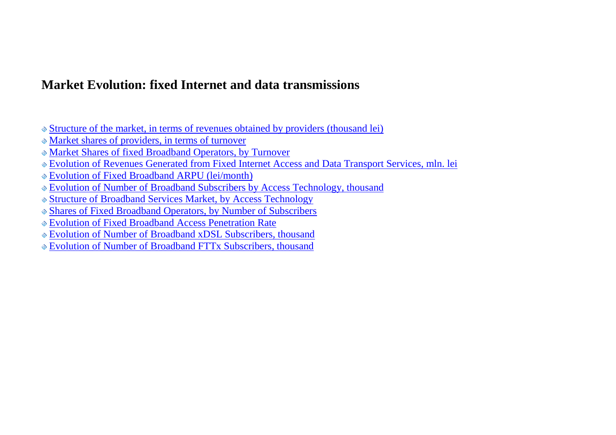## **Market Evolution: fixed Internet and data transmissions**

- [Structure of the market, in terms of revenues obtained by providers \(thousand lei\)](#page-1-0)
- [Market shares of providers, in terms of turnover](#page-2-0)
- Market Shares of [fixed Broadband Operators, by Turnover](#page-3-0)
- [Evolution of Revenues Generated from Fixed Internet Access and Data Transport Services, mln. lei](#page-4-0)
- [Evolution of Fixed Broadband ARPU \(lei/month\)](#page-5-0)
- [Evolution of Number of Broadband Subscribers by Access](#page-6-0) Technology, thousand
- [Structure of Broadband Services](#page-7-0) Market, by Access Technology
- Shares [of Fixed Broadband Operators, by Number of Subscribers](#page-8-0)
- [Evolution of Fixed Broadband Access Penetration Rate](#page-9-0)
- [Evolution of Number of Broadband xDSL Subscribers, thousand](#page-10-0)
- [Evolution of Number of Broadband FTTx Subscribers, thousand](#page-11-0)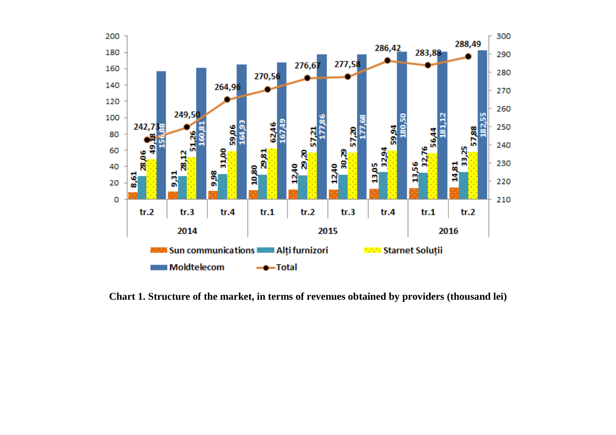<span id="page-1-0"></span>

**Chart 1. Structure of the market, in terms of revenues obtained by providers (thousand lei)**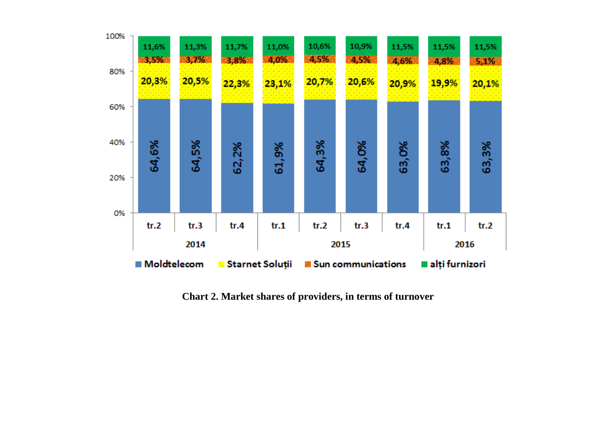<span id="page-2-0"></span>

**Chart 2. Market shares of providers, in terms of turnover**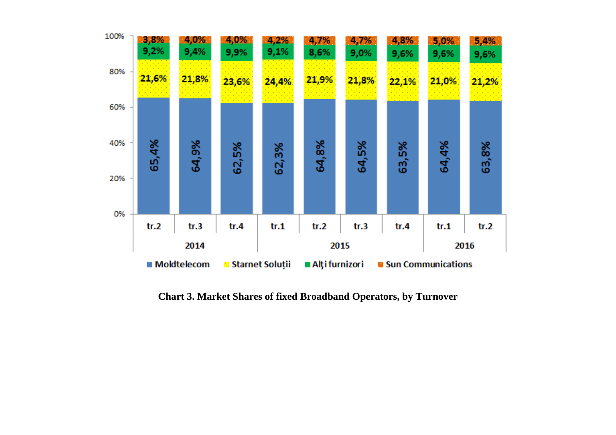<span id="page-3-0"></span>

**Chart 3. Market Shares of fixed Broadband Operators, by Turnover**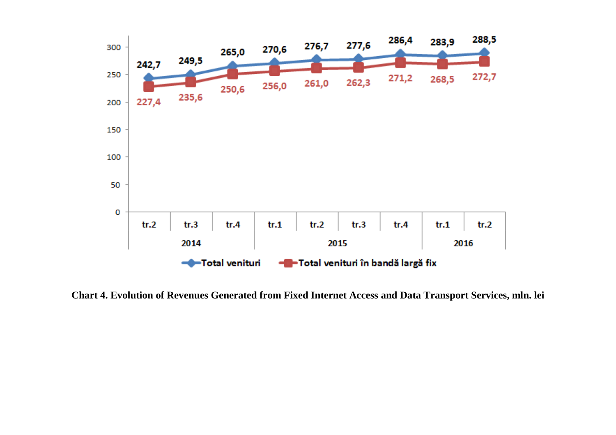<span id="page-4-0"></span>

**Chart 4. Evolution of Revenues Generated from Fixed Internet Access and Data Transport Services, mln. lei**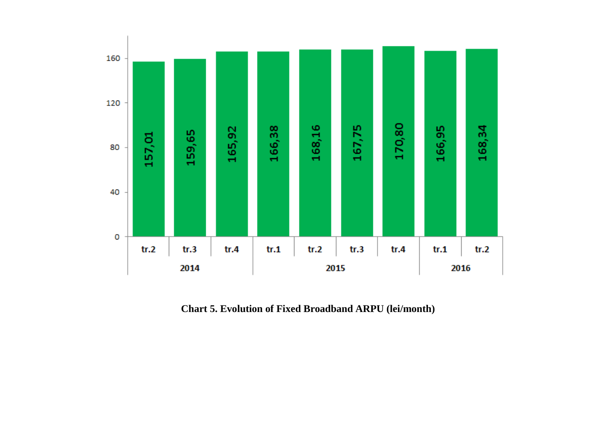<span id="page-5-0"></span>

**Chart 5. Evolution of Fixed Broadband ARPU (lei/month)**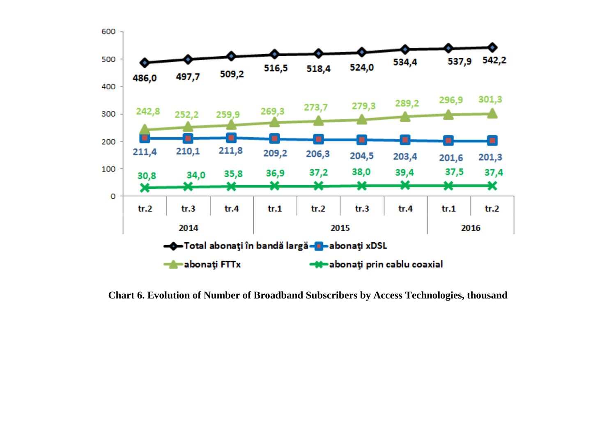<span id="page-6-0"></span>

**Chart 6. Evolution of Number of Broadband Subscribers by Access Technologies, thousand**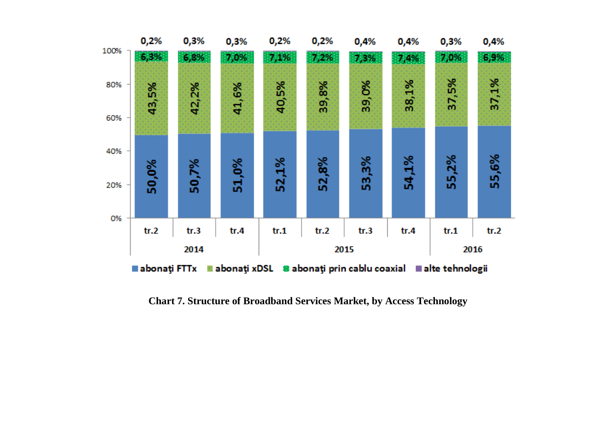<span id="page-7-0"></span>

**Chart 7. Structure of Broadband Services Market, by Access Technology**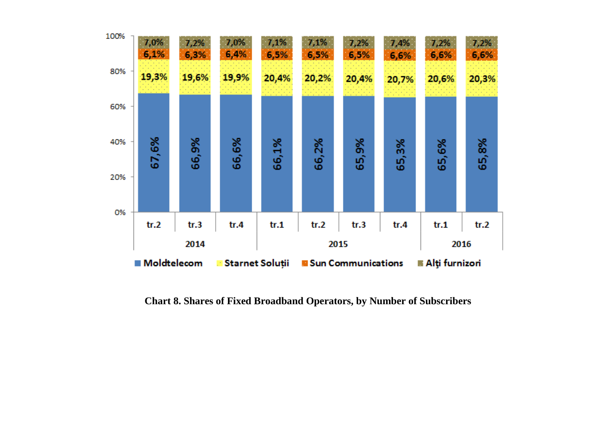<span id="page-8-0"></span>

**Chart 8. Shares of Fixed Broadband Operators, by Number of Subscribers**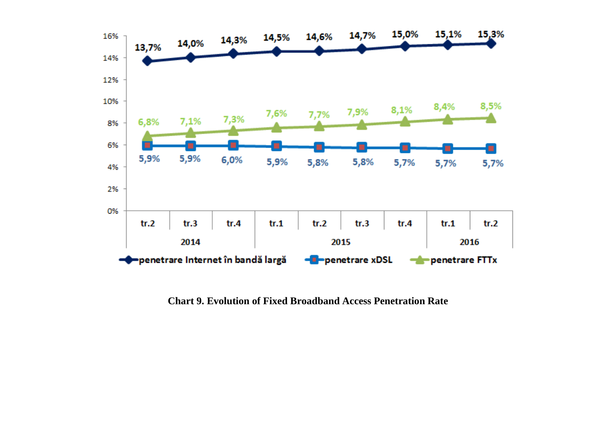<span id="page-9-0"></span>

**Chart 9. Evolution of Fixed Broadband Access Penetration Rate**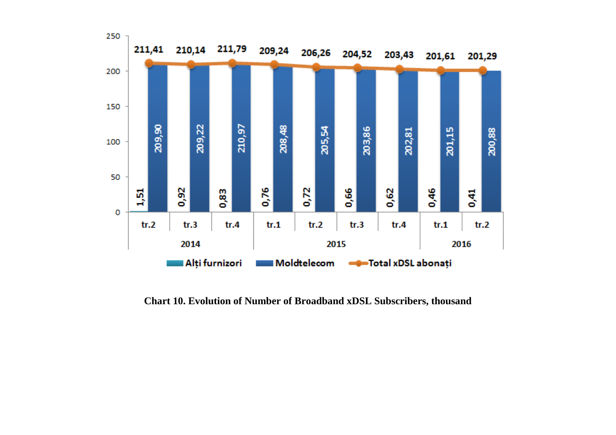<span id="page-10-0"></span>

**Chart 10. Evolution of Number of Broadband xDSL Subscribers, thousand**